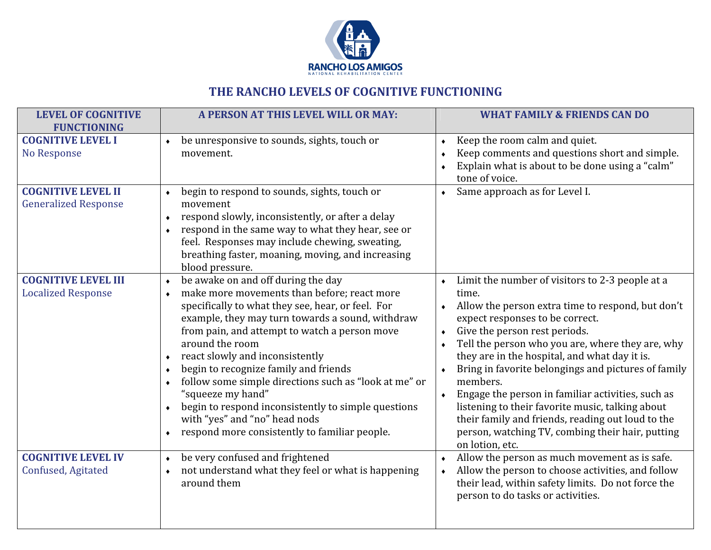

## THE RANCHO LEVELS OF COGNITIVE FUNCTIONING

| <b>LEVEL OF COGNITIVE</b><br><b>FUNCTIONING</b>          | A PERSON AT THIS LEVEL WILL OR MAY:                                                                                                                                                                                                                                                                                                                                                                                                                                                                                                                                                               | <b>WHAT FAMILY &amp; FRIENDS CAN DO</b>                                                                                                                                                                                                                                                                                                                                                                                                                                                                                                                                                                                               |
|----------------------------------------------------------|---------------------------------------------------------------------------------------------------------------------------------------------------------------------------------------------------------------------------------------------------------------------------------------------------------------------------------------------------------------------------------------------------------------------------------------------------------------------------------------------------------------------------------------------------------------------------------------------------|---------------------------------------------------------------------------------------------------------------------------------------------------------------------------------------------------------------------------------------------------------------------------------------------------------------------------------------------------------------------------------------------------------------------------------------------------------------------------------------------------------------------------------------------------------------------------------------------------------------------------------------|
| <b>COGNITIVE LEVEL I</b><br>No Response                  | be unresponsive to sounds, sights, touch or<br>movement.                                                                                                                                                                                                                                                                                                                                                                                                                                                                                                                                          | Keep the room calm and quiet.<br>Keep comments and questions short and simple.<br>Explain what is about to be done using a "calm"<br>tone of voice.                                                                                                                                                                                                                                                                                                                                                                                                                                                                                   |
| <b>COGNITIVE LEVEL II</b><br><b>Generalized Response</b> | begin to respond to sounds, sights, touch or<br>movement<br>respond slowly, inconsistently, or after a delay<br>$\blacklozenge$<br>respond in the same way to what they hear, see or<br>feel. Responses may include chewing, sweating,<br>breathing faster, moaning, moving, and increasing<br>blood pressure.                                                                                                                                                                                                                                                                                    | Same approach as for Level I.<br>$\bullet$                                                                                                                                                                                                                                                                                                                                                                                                                                                                                                                                                                                            |
| <b>COGNITIVE LEVEL III</b><br><b>Localized Response</b>  | be awake on and off during the day<br>$\blacklozenge$<br>make more movements than before; react more<br>$\bullet$<br>specifically to what they see, hear, or feel. For<br>example, they may turn towards a sound, withdraw<br>from pain, and attempt to watch a person move<br>around the room<br>react slowly and inconsistently<br>begin to recognize family and friends<br>follow some simple directions such as "look at me" or<br>"squeeze my hand"<br>begin to respond inconsistently to simple questions<br>with "yes" and "no" head nods<br>respond more consistently to familiar people. | Limit the number of visitors to 2-3 people at a<br>time.<br>Allow the person extra time to respond, but don't<br>$\bullet$<br>expect responses to be correct.<br>Give the person rest periods.<br>$\bullet$<br>Tell the person who you are, where they are, why<br>they are in the hospital, and what day it is.<br>Bring in favorite belongings and pictures of family<br>members.<br>Engage the person in familiar activities, such as<br>$\bullet$<br>listening to their favorite music, talking about<br>their family and friends, reading out loud to the<br>person, watching TV, combing their hair, putting<br>on lotion, etc. |
| <b>COGNITIVE LEVEL IV</b><br>Confused, Agitated          | be very confused and frightened<br>$\blacklozenge$<br>not understand what they feel or what is happening<br>around them                                                                                                                                                                                                                                                                                                                                                                                                                                                                           | Allow the person as much movement as is safe.<br>Allow the person to choose activities, and follow<br>their lead, within safety limits. Do not force the<br>person to do tasks or activities.                                                                                                                                                                                                                                                                                                                                                                                                                                         |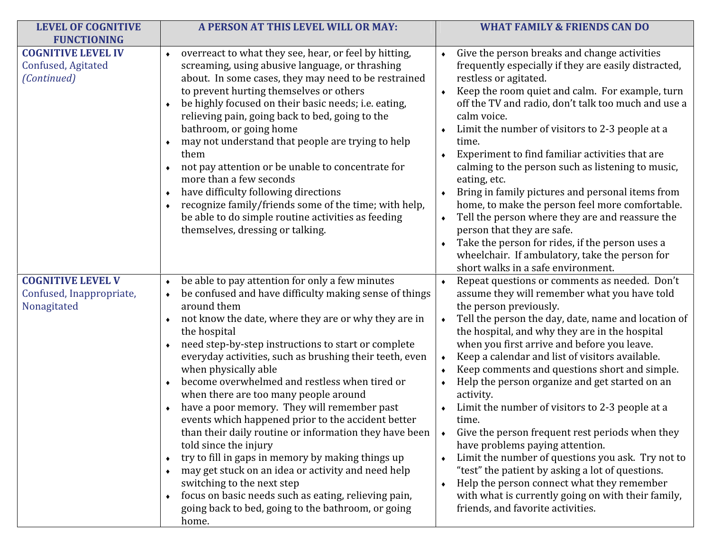| <b>LEVEL OF COGNITIVE</b><br><b>FUNCTIONING</b>                     | A PERSON AT THIS LEVEL WILL OR MAY:                                                                                                                                                                                                                                                                                                                                                                                                                                                                                                                                                                                                                                                                                                                                                                                                                                                                                                                                           | <b>WHAT FAMILY &amp; FRIENDS CAN DO</b>                                                                                                                                                                                                                                                                                                                                                                                                                                                                                                                                                                                                                                                                                                                                                                                                                                                      |
|---------------------------------------------------------------------|-------------------------------------------------------------------------------------------------------------------------------------------------------------------------------------------------------------------------------------------------------------------------------------------------------------------------------------------------------------------------------------------------------------------------------------------------------------------------------------------------------------------------------------------------------------------------------------------------------------------------------------------------------------------------------------------------------------------------------------------------------------------------------------------------------------------------------------------------------------------------------------------------------------------------------------------------------------------------------|----------------------------------------------------------------------------------------------------------------------------------------------------------------------------------------------------------------------------------------------------------------------------------------------------------------------------------------------------------------------------------------------------------------------------------------------------------------------------------------------------------------------------------------------------------------------------------------------------------------------------------------------------------------------------------------------------------------------------------------------------------------------------------------------------------------------------------------------------------------------------------------------|
| <b>COGNITIVE LEVEL IV</b><br>Confused, Agitated<br>(Continued)      | overreact to what they see, hear, or feel by hitting,<br>$\blacklozenge$<br>screaming, using abusive language, or thrashing<br>about. In some cases, they may need to be restrained<br>to prevent hurting themselves or others<br>be highly focused on their basic needs; i.e. eating,<br>relieving pain, going back to bed, going to the<br>bathroom, or going home<br>may not understand that people are trying to help<br>them<br>not pay attention or be unable to concentrate for<br>$\blacklozenge$<br>more than a few seconds<br>have difficulty following directions<br>٠<br>recognize family/friends some of the time; with help,<br>be able to do simple routine activities as feeding<br>themselves, dressing or talking.                                                                                                                                                                                                                                          | Give the person breaks and change activities<br>frequently especially if they are easily distracted,<br>restless or agitated.<br>Keep the room quiet and calm. For example, turn<br>off the TV and radio, don't talk too much and use a<br>calm voice.<br>Limit the number of visitors to 2-3 people at a<br>time.<br>Experiment to find familiar activities that are<br>calming to the person such as listening to music,<br>eating, etc.<br>Bring in family pictures and personal items from<br>home, to make the person feel more comfortable.<br>Tell the person where they are and reassure the<br>person that they are safe.<br>Take the person for rides, if the person uses a<br>wheelchair. If ambulatory, take the person for<br>short walks in a safe environment.                                                                                                                |
| <b>COGNITIVE LEVEL V</b><br>Confused, Inappropriate,<br>Nonagitated | be able to pay attention for only a few minutes<br>be confused and have difficulty making sense of things<br>around them<br>not know the date, where they are or why they are in<br>$\blacklozenge$<br>the hospital<br>need step-by-step instructions to start or complete<br>$\blacklozenge$<br>everyday activities, such as brushing their teeth, even<br>when physically able<br>become overwhelmed and restless when tired or<br>when there are too many people around<br>have a poor memory. They will remember past<br>events which happened prior to the accident better<br>than their daily routine or information they have been<br>told since the injury<br>try to fill in gaps in memory by making things up<br>٠<br>may get stuck on an idea or activity and need help<br>$\blacklozenge$<br>switching to the next step<br>focus on basic needs such as eating, relieving pain,<br>$\blacklozenge$<br>going back to bed, going to the bathroom, or going<br>home. | Repeat questions or comments as needed. Don't<br>assume they will remember what you have told<br>the person previously.<br>Tell the person the day, date, name and location of<br>$\blacklozenge$<br>the hospital, and why they are in the hospital<br>when you first arrive and before you leave.<br>Keep a calendar and list of visitors available.<br>Keep comments and questions short and simple.<br>Help the person organize and get started on an<br>activity.<br>Limit the number of visitors to 2-3 people at a<br>time.<br>Give the person frequent rest periods when they<br>$\blacklozenge$<br>have problems paying attention.<br>Limit the number of questions you ask. Try not to<br>"test" the patient by asking a lot of questions.<br>Help the person connect what they remember<br>with what is currently going on with their family,<br>friends, and favorite activities. |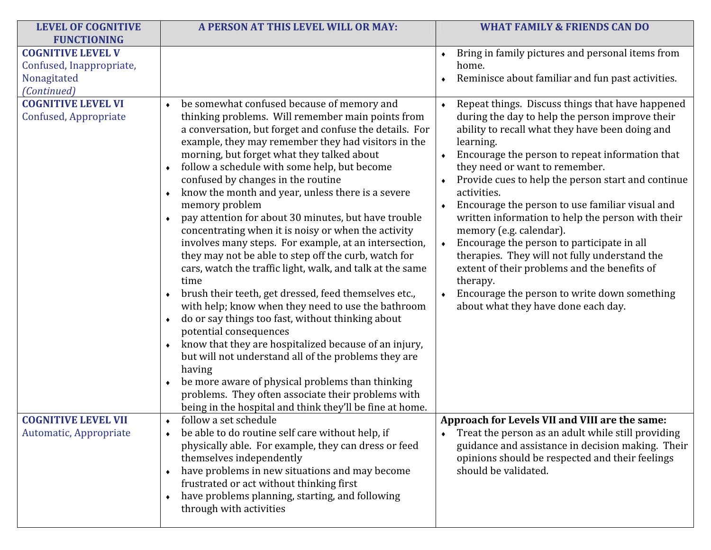| <b>LEVEL OF COGNITIVE</b><br><b>FUNCTIONING</b>                                    | A PERSON AT THIS LEVEL WILL OR MAY:                                                                                                                                                                                                                                                                                                                                                                                                                                                                                                                                                                                                                                                                                                                                                                                                                                                                                                                                                                                                                                                                                                                                                                                                                                                        | <b>WHAT FAMILY &amp; FRIENDS CAN DO</b>                                                                                                                                                                                                                                                                                                                                                                                                                                                                                                                                                                                                                                                                                                                         |
|------------------------------------------------------------------------------------|--------------------------------------------------------------------------------------------------------------------------------------------------------------------------------------------------------------------------------------------------------------------------------------------------------------------------------------------------------------------------------------------------------------------------------------------------------------------------------------------------------------------------------------------------------------------------------------------------------------------------------------------------------------------------------------------------------------------------------------------------------------------------------------------------------------------------------------------------------------------------------------------------------------------------------------------------------------------------------------------------------------------------------------------------------------------------------------------------------------------------------------------------------------------------------------------------------------------------------------------------------------------------------------------|-----------------------------------------------------------------------------------------------------------------------------------------------------------------------------------------------------------------------------------------------------------------------------------------------------------------------------------------------------------------------------------------------------------------------------------------------------------------------------------------------------------------------------------------------------------------------------------------------------------------------------------------------------------------------------------------------------------------------------------------------------------------|
| <b>COGNITIVE LEVEL V</b><br>Confused, Inappropriate,<br>Nonagitated<br>(Continued) |                                                                                                                                                                                                                                                                                                                                                                                                                                                                                                                                                                                                                                                                                                                                                                                                                                                                                                                                                                                                                                                                                                                                                                                                                                                                                            | Bring in family pictures and personal items from<br>home.<br>Reminisce about familiar and fun past activities.                                                                                                                                                                                                                                                                                                                                                                                                                                                                                                                                                                                                                                                  |
| <b>COGNITIVE LEVEL VI</b><br>Confused, Appropriate                                 | be somewhat confused because of memory and<br>$\blacklozenge$<br>thinking problems. Will remember main points from<br>a conversation, but forget and confuse the details. For<br>example, they may remember they had visitors in the<br>morning, but forget what they talked about<br>follow a schedule with some help, but become<br>$\bullet$<br>confused by changes in the routine<br>know the month and year, unless there is a severe<br>memory problem<br>pay attention for about 30 minutes, but have trouble<br>concentrating when it is noisy or when the activity<br>involves many steps. For example, at an intersection,<br>they may not be able to step off the curb, watch for<br>cars, watch the traffic light, walk, and talk at the same<br>time<br>brush their teeth, get dressed, feed themselves etc.,<br>with help; know when they need to use the bathroom<br>do or say things too fast, without thinking about<br>$\bullet$<br>potential consequences<br>know that they are hospitalized because of an injury,<br>but will not understand all of the problems they are<br>having<br>be more aware of physical problems than thinking<br>$\bullet$<br>problems. They often associate their problems with<br>being in the hospital and think they'll be fine at home. | Repeat things. Discuss things that have happened<br>$\bullet$<br>during the day to help the person improve their<br>ability to recall what they have been doing and<br>learning.<br>Encourage the person to repeat information that<br>they need or want to remember.<br>Provide cues to help the person start and continue<br>activities.<br>Encourage the person to use familiar visual and<br>written information to help the person with their<br>memory (e.g. calendar).<br>Encourage the person to participate in all<br>$\bullet$<br>therapies. They will not fully understand the<br>extent of their problems and the benefits of<br>therapy.<br>Encourage the person to write down something<br>$\blacklozenge$<br>about what they have done each day. |
| <b>COGNITIVE LEVEL VII</b><br>Automatic, Appropriate                               | follow a set schedule<br>be able to do routine self care without help, if<br>physically able. For example, they can dress or feed<br>themselves independently<br>have problems in new situations and may become<br>$\bullet$<br>frustrated or act without thinking first<br>have problems planning, starting, and following<br>$\bullet$<br>through with activities                                                                                                                                                                                                                                                                                                                                                                                                                                                                                                                                                                                                                                                                                                                                                                                                                                                                                                                        | Approach for Levels VII and VIII are the same:<br>Treat the person as an adult while still providing<br>guidance and assistance in decision making. Their<br>opinions should be respected and their feelings<br>should be validated.                                                                                                                                                                                                                                                                                                                                                                                                                                                                                                                            |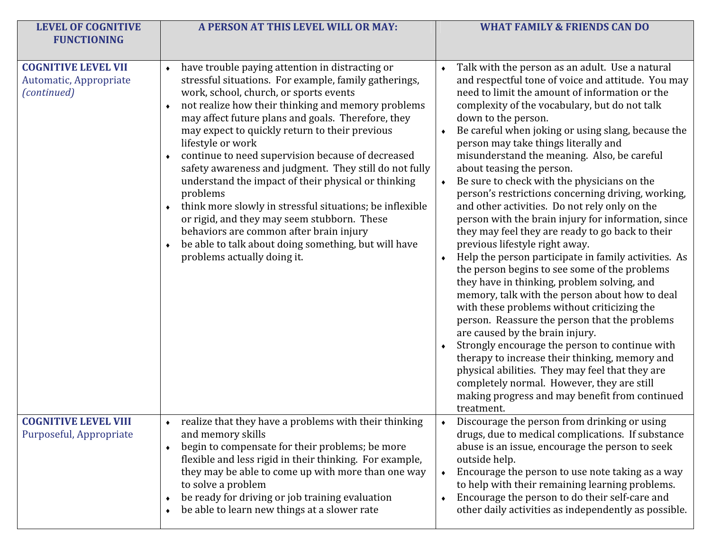| <b>LEVEL OF COGNITIVE</b><br><b>FUNCTIONING</b>                     | A PERSON AT THIS LEVEL WILL OR MAY:                                                                                                                                                                                                                                                                                                                                                                                                                                                                                                                                                                                                                                                                                                                                                     | <b>WHAT FAMILY &amp; FRIENDS CAN DO</b>                                                                                                                                                                                                                                                                                                                                                                                                                                                                                                                                                                                                                                                                                                                                                                                                                                                                                                                                                                                                                                                                                                                                                                                                                                                                                        |
|---------------------------------------------------------------------|-----------------------------------------------------------------------------------------------------------------------------------------------------------------------------------------------------------------------------------------------------------------------------------------------------------------------------------------------------------------------------------------------------------------------------------------------------------------------------------------------------------------------------------------------------------------------------------------------------------------------------------------------------------------------------------------------------------------------------------------------------------------------------------------|--------------------------------------------------------------------------------------------------------------------------------------------------------------------------------------------------------------------------------------------------------------------------------------------------------------------------------------------------------------------------------------------------------------------------------------------------------------------------------------------------------------------------------------------------------------------------------------------------------------------------------------------------------------------------------------------------------------------------------------------------------------------------------------------------------------------------------------------------------------------------------------------------------------------------------------------------------------------------------------------------------------------------------------------------------------------------------------------------------------------------------------------------------------------------------------------------------------------------------------------------------------------------------------------------------------------------------|
| <b>COGNITIVE LEVEL VII</b><br>Automatic, Appropriate<br>(continued) | have trouble paying attention in distracting or<br>$\blacklozenge$<br>stressful situations. For example, family gatherings,<br>work, school, church, or sports events<br>not realize how their thinking and memory problems<br>may affect future plans and goals. Therefore, they<br>may expect to quickly return to their previous<br>lifestyle or work<br>continue to need supervision because of decreased<br>safety awareness and judgment. They still do not fully<br>understand the impact of their physical or thinking<br>problems<br>think more slowly in stressful situations; be inflexible<br>or rigid, and they may seem stubborn. These<br>behaviors are common after brain injury<br>be able to talk about doing something, but will have<br>problems actually doing it. | Talk with the person as an adult. Use a natural<br>and respectful tone of voice and attitude. You may<br>need to limit the amount of information or the<br>complexity of the vocabulary, but do not talk<br>down to the person.<br>Be careful when joking or using slang, because the<br>person may take things literally and<br>misunderstand the meaning. Also, be careful<br>about teasing the person.<br>Be sure to check with the physicians on the<br>person's restrictions concerning driving, working,<br>and other activities. Do not rely only on the<br>person with the brain injury for information, since<br>they may feel they are ready to go back to their<br>previous lifestyle right away.<br>Help the person participate in family activities. As<br>the person begins to see some of the problems<br>they have in thinking, problem solving, and<br>memory, talk with the person about how to deal<br>with these problems without criticizing the<br>person. Reassure the person that the problems<br>are caused by the brain injury.<br>Strongly encourage the person to continue with<br>therapy to increase their thinking, memory and<br>physical abilities. They may feel that they are<br>completely normal. However, they are still<br>making progress and may benefit from continued<br>treatment. |
| <b>COGNITIVE LEVEL VIII</b><br>Purposeful, Appropriate              | realize that they have a problems with their thinking<br>and memory skills<br>begin to compensate for their problems; be more<br>$\blacklozenge$<br>flexible and less rigid in their thinking. For example,<br>they may be able to come up with more than one way<br>to solve a problem<br>be ready for driving or job training evaluation<br>$\bullet$<br>be able to learn new things at a slower rate                                                                                                                                                                                                                                                                                                                                                                                 | Discourage the person from drinking or using<br>drugs, due to medical complications. If substance<br>abuse is an issue, encourage the person to seek<br>outside help.<br>Encourage the person to use note taking as a way<br>$\blacklozenge$<br>to help with their remaining learning problems.<br>Encourage the person to do their self-care and<br>other daily activities as independently as possible.                                                                                                                                                                                                                                                                                                                                                                                                                                                                                                                                                                                                                                                                                                                                                                                                                                                                                                                      |